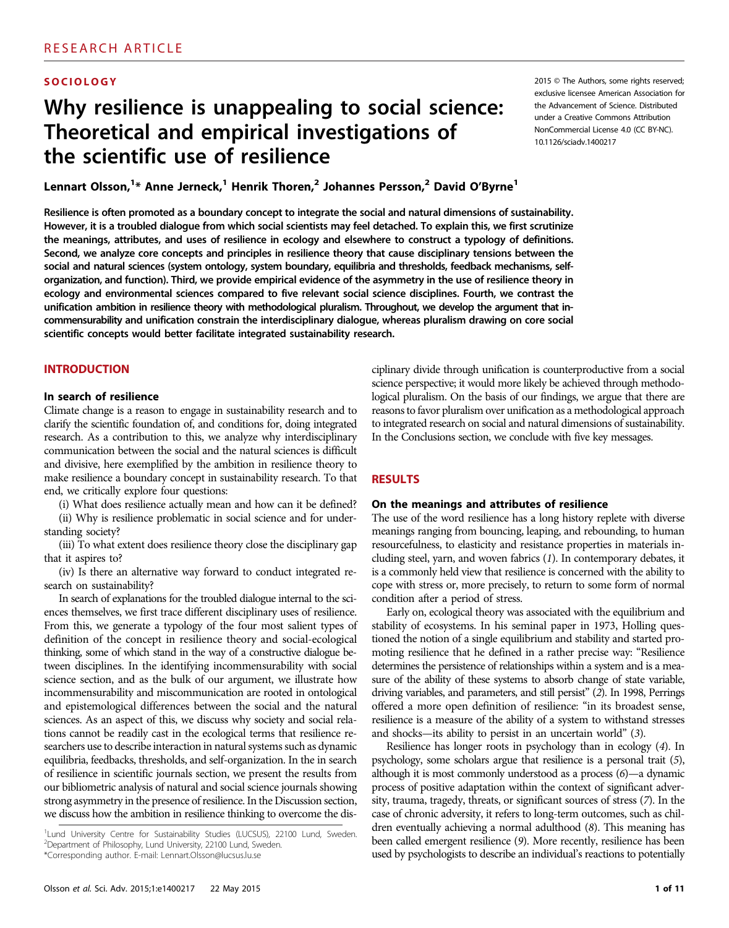# **SOCIOLOGY**

# Why resilience is unappealing to social science: Theoretical and empirical investigations of the scientific use of resilience

Lennart Olsson,<sup>1\*</sup> Anne Jerneck,<sup>1</sup> Henrik Thoren,<sup>2</sup> Johannes Persson,<sup>2</sup> David O'Byrne<sup>1</sup>

Resilience is often promoted as a boundary concept to integrate the social and natural dimensions of sustainability. However, it is a troubled dialogue from which social scientists may feel detached. To explain this, we first scrutinize the meanings, attributes, and uses of resilience in ecology and elsewhere to construct a typology of definitions. Second, we analyze core concepts and principles in resilience theory that cause disciplinary tensions between the social and natural sciences (system ontology, system boundary, equilibria and thresholds, feedback mechanisms, selforganization, and function). Third, we provide empirical evidence of the asymmetry in the use of resilience theory in ecology and environmental sciences compared to five relevant social science disciplines. Fourth, we contrast the unification ambition in resilience theory with methodological pluralism. Throughout, we develop the argument that incommensurability and unification constrain the interdisciplinary dialogue, whereas pluralism drawing on core social scientific concepts would better facilitate integrated sustainability research.

# INTRODUCTION

#### In search of resilience

Climate change is a reason to engage in sustainability research and to clarify the scientific foundation of, and conditions for, doing integrated research. As a contribution to this, we analyze why interdisciplinary communication between the social and the natural sciences is difficult and divisive, here exemplified by the ambition in resilience theory to make resilience a boundary concept in sustainability research. To that end, we critically explore four questions:

(i) What does resilience actually mean and how can it be defined?

(ii) Why is resilience problematic in social science and for understanding society?

(iii) To what extent does resilience theory close the disciplinary gap that it aspires to?

(iv) Is there an alternative way forward to conduct integrated research on sustainability?

In search of explanations for the troubled dialogue internal to the sciences themselves, we first trace different disciplinary uses of resilience. From this, we generate a typology of the four most salient types of definition of the concept in resilience theory and social-ecological thinking, some of which stand in the way of a constructive dialogue between disciplines. In the identifying incommensurability with social science section, and as the bulk of our argument, we illustrate how incommensurability and miscommunication are rooted in ontological and epistemological differences between the social and the natural sciences. As an aspect of this, we discuss why society and social relations cannot be readily cast in the ecological terms that resilience researchers use to describe interaction in natural systems such as dynamic equilibria, feedbacks, thresholds, and self-organization. In the in search of resilience in scientific journals section, we present the results from our bibliometric analysis of natural and social science journals showing strong asymmetry in the presence of resilience. In the Discussion section, we discuss how the ambition in resilience thinking to overcome the dis-

ciplinary divide through unification is counterproductive from a social science perspective; it would more likely be achieved through methodological pluralism. On the basis of our findings, we argue that there are reasons to favor pluralism over unification as a methodological approach to integrated research on social and natural dimensions of sustainability. In the Conclusions section, we conclude with five key messages.

#### RESULTS

### On the meanings and attributes of resilience

The use of the word resilience has a long history replete with diverse meanings ranging from bouncing, leaping, and rebounding, to human resourcefulness, to elasticity and resistance properties in materials including steel, yarn, and woven fabrics (1). In contemporary debates, it is a commonly held view that resilience is concerned with the ability to cope with stress or, more precisely, to return to some form of normal condition after a period of stress.

Early on, ecological theory was associated with the equilibrium and stability of ecosystems. In his seminal paper in 1973, Holling questioned the notion of a single equilibrium and stability and started promoting resilience that he defined in a rather precise way: "Resilience determines the persistence of relationships within a system and is a measure of the ability of these systems to absorb change of state variable, driving variables, and parameters, and still persist" (2). In 1998, Perrings offered a more open definition of resilience: "in its broadest sense, resilience is a measure of the ability of a system to withstand stresses and shocks—its ability to persist in an uncertain world" (3).

Resilience has longer roots in psychology than in ecology (4). In psychology, some scholars argue that resilience is a personal trait (5), although it is most commonly understood as a process (6)—a dynamic process of positive adaptation within the context of significant adversity, trauma, tragedy, threats, or significant sources of stress (7). In the case of chronic adversity, it refers to long-term outcomes, such as children eventually achieving a normal adulthood (8). This meaning has been called emergent resilience (9). More recently, resilience has been used by psychologists to describe an individual's reactions to potentially

2015 © The Authors, some rights reserved; exclusive licensee American Association for the Advancement of Science. Distributed under a Creative Commons Attribution NonCommercial License 4.0 (CC BY-NC). 10.1126/sciadv.1400217

<sup>&</sup>lt;sup>1</sup>Lund University Centre for Sustainability Studies (LUCSUS), 22100 Lund, Sweden. 2 Department of Philosophy, Lund University, 22100 Lund, Sweden. \*Corresponding author. E-mail: Lennart.Olsson@lucsus.lu.se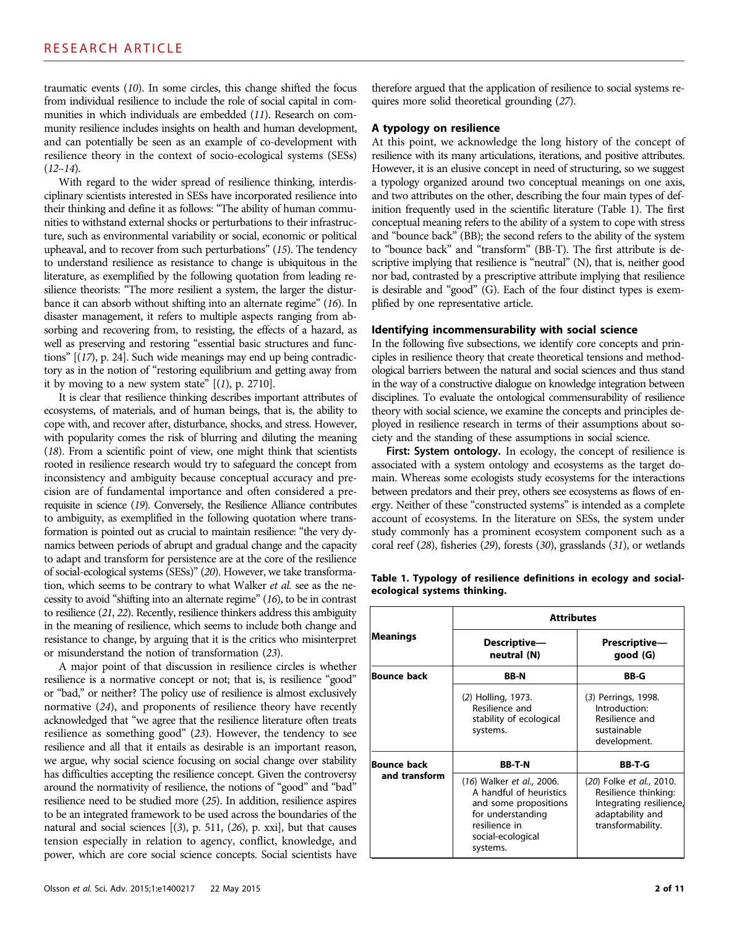traumatic events (10). In some circles, this change shifted the focus from individual resilience to include the role of social capital in communities in which individuals are embedded (11). Research on community resilience includes insights on health and human development, and can potentially be seen as an example of co-development with resilience theory in the context of socio-ecological systems (SESs)  $(12-14)$ .

With regard to the wider spread of resilience thinking, interdisciplinary scientists interested in SESs have incorporated resilience into their thinking and define it as follows: "The ability of human communities to withstand external shocks or perturbations to their infrastructure, such as environmental variability or social, economic or political upheaval, and to recover from such perturbations" (15). The tendency to understand resilience as resistance to change is ubiquitous in the literature, as exemplified by the following quotation from leading resilience theorists: "The more resilient a system, the larger the disturbance it can absorb without shifting into an alternate regime" (16). In disaster management, it refers to multiple aspects ranging from absorbing and recovering from, to resisting, the effects of a hazard, as well as preserving and restoring "essential basic structures and functions" [(17), p. 24]. Such wide meanings may end up being contradictory as in the notion of "restoring equilibrium and getting away from it by moving to a new system state"  $[(1), p. 2710]$ .

It is clear that resilience thinking describes important attributes of ecosystems, of materials, and of human beings, that is, the ability to cope with, and recover after, disturbance, shocks, and stress. However, with popularity comes the risk of blurring and diluting the meaning (18). From a scientific point of view, one might think that scientists rooted in resilience research would try to safeguard the concept from inconsistency and ambiguity because conceptual accuracy and precision are of fundamental importance and often considered a prerequisite in science (19). Conversely, the Resilience Alliance contributes to ambiguity, as exemplified in the following quotation where transformation is pointed out as crucial to maintain resilience: "the very dynamics between periods of abrupt and gradual change and the capacity to adapt and transform for persistence are at the core of the resilience of social-ecological systems (SESs)" (20). However, we take transformation, which seems to be contrary to what Walker et al. see as the necessity to avoid "shifting into an alternate regime" (16), to be in contrast to resilience (21, 22). Recently, resilience thinkers address this ambiguity in the meaning of resilience, which seems to include both change and resistance to change, by arguing that it is the critics who misinterpret or misunderstand the notion of transformation (23).

A major point of that discussion in resilience circles is whether resilience is a normative concept or not; that is, is resilience "good" or "bad," or neither? The policy use of resilience is almost exclusively normative (24), and proponents of resilience theory have recently acknowledged that "we agree that the resilience literature often treats resilience as something good" (23). However, the tendency to see resilience and all that it entails as desirable is an important reason, we argue, why social science focusing on social change over stability has difficulties accepting the resilience concept. Given the controversy around the normativity of resilience, the notions of "good" and "bad" resilience need to be studied more (25). In addition, resilience aspires to be an integrated framework to be used across the boundaries of the natural and social sciences [(3), p. 511, (26), p. xxi], but that causes tension especially in relation to agency, conflict, knowledge, and power, which are core social science concepts. Social scientists have therefore argued that the application of resilience to social systems requires more solid theoretical grounding (27).

### A typology on resilience

At this point, we acknowledge the long history of the concept of resilience with its many articulations, iterations, and positive attributes. However, it is an elusive concept in need of structuring, so we suggest a typology organized around two conceptual meanings on one axis, and two attributes on the other, describing the four main types of definition frequently used in the scientific literature (Table 1). The first conceptual meaning refers to the ability of a system to cope with stress and "bounce back" (BB); the second refers to the ability of the system to "bounce back" and "transform" (BB-T). The first attribute is descriptive implying that resilience is "neutral" (N), that is, neither good nor bad, contrasted by a prescriptive attribute implying that resilience is desirable and "good" (G). Each of the four distinct types is exemplified by one representative article.

#### Identifying incommensurability with social science

In the following five subsections, we identify core concepts and principles in resilience theory that create theoretical tensions and methodological barriers between the natural and social sciences and thus stand in the way of a constructive dialogue on knowledge integration between disciplines. To evaluate the ontological commensurability of resilience theory with social science, we examine the concepts and principles deployed in resilience research in terms of their assumptions about society and the standing of these assumptions in social science.

First: System ontology. In ecology, the concept of resilience is associated with a system ontology and ecosystems as the target domain. Whereas some ecologists study ecosystems for the interactions between predators and their prey, others see ecosystems as flows of energy. Neither of these "constructed systems" is intended as a complete account of ecosystems. In the literature on SESs, the system under study commonly has a prominent ecosystem component such as a coral reef (28), fisheries (29), forests (30), grasslands (31), or wetlands

|                    | <b>Attributes</b>                                                                                                                                    |                                                                                                                      |  |  |  |  |
|--------------------|------------------------------------------------------------------------------------------------------------------------------------------------------|----------------------------------------------------------------------------------------------------------------------|--|--|--|--|
| Meanings           | Descriptive—<br>neutral (N)                                                                                                                          | Prescriptive—<br>good (G)                                                                                            |  |  |  |  |
| <b>Bounce back</b> | <b>BB-N</b>                                                                                                                                          | <b>BB-G</b>                                                                                                          |  |  |  |  |
|                    | (2) Holling, 1973.<br>Resilience and<br>stability of ecological<br>systems.                                                                          | (3) Perrings, 1998.<br>Introduction:<br>Resilience and<br>sustainable<br>development.                                |  |  |  |  |
| <b>Bounce back</b> | <b>BB-T-N</b>                                                                                                                                        | <b>BB-T-G</b>                                                                                                        |  |  |  |  |
| and transform      | (16) Walker et al., 2006.<br>A handful of heuristics<br>and some propositions<br>for understanding<br>resilience in<br>social-ecological<br>systems. | (20) Folke et al., 2010.<br>Resilience thinking:<br>Integrating resilience,<br>adaptability and<br>transformability. |  |  |  |  |

Table 1. Typology of resilience definitions in ecology and socialecological systems thinking.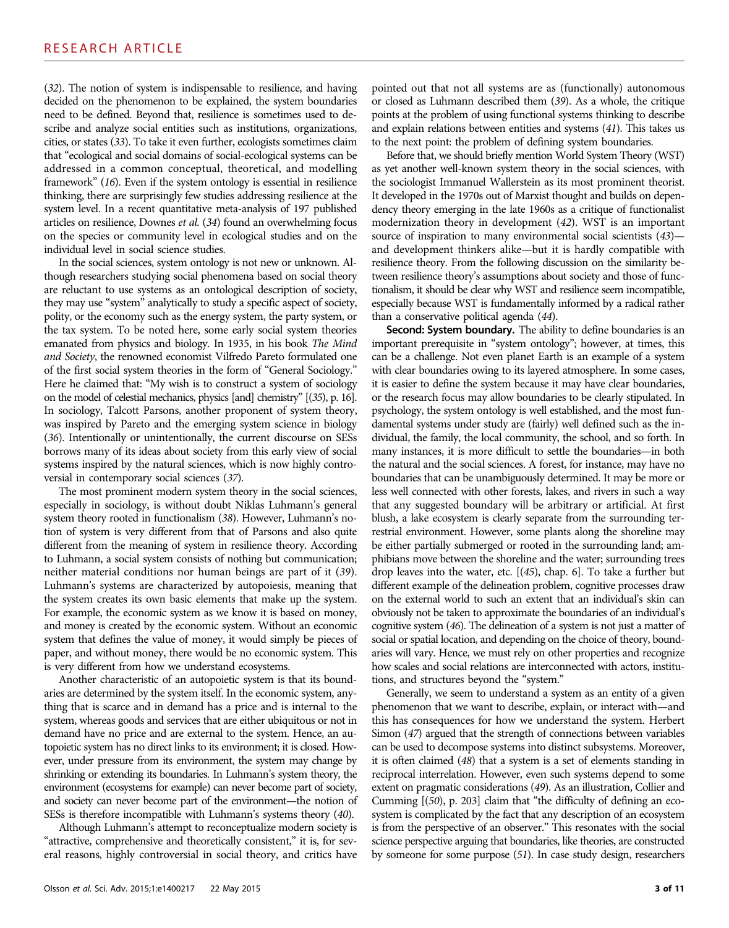(32). The notion of system is indispensable to resilience, and having decided on the phenomenon to be explained, the system boundaries need to be defined. Beyond that, resilience is sometimes used to describe and analyze social entities such as institutions, organizations, cities, or states (33). To take it even further, ecologists sometimes claim that "ecological and social domains of social-ecological systems can be addressed in a common conceptual, theoretical, and modelling framework" (16). Even if the system ontology is essential in resilience thinking, there are surprisingly few studies addressing resilience at the system level. In a recent quantitative meta-analysis of 197 published articles on resilience, Downes et al. (34) found an overwhelming focus on the species or community level in ecological studies and on the individual level in social science studies.

In the social sciences, system ontology is not new or unknown. Although researchers studying social phenomena based on social theory are reluctant to use systems as an ontological description of society, they may use "system" analytically to study a specific aspect of society, polity, or the economy such as the energy system, the party system, or the tax system. To be noted here, some early social system theories emanated from physics and biology. In 1935, in his book The Mind and Society, the renowned economist Vilfredo Pareto formulated one of the first social system theories in the form of "General Sociology." Here he claimed that: "My wish is to construct a system of sociology on the model of celestial mechanics, physics [and] chemistry" [(35), p. 16]. In sociology, Talcott Parsons, another proponent of system theory, was inspired by Pareto and the emerging system science in biology (36). Intentionally or unintentionally, the current discourse on SESs borrows many of its ideas about society from this early view of social systems inspired by the natural sciences, which is now highly controversial in contemporary social sciences (37).

The most prominent modern system theory in the social sciences, especially in sociology, is without doubt Niklas Luhmann's general system theory rooted in functionalism (38). However, Luhmann's notion of system is very different from that of Parsons and also quite different from the meaning of system in resilience theory. According to Luhmann, a social system consists of nothing but communication; neither material conditions nor human beings are part of it (39). Luhmann's systems are characterized by autopoiesis, meaning that the system creates its own basic elements that make up the system. For example, the economic system as we know it is based on money, and money is created by the economic system. Without an economic system that defines the value of money, it would simply be pieces of paper, and without money, there would be no economic system. This is very different from how we understand ecosystems.

Another characteristic of an autopoietic system is that its boundaries are determined by the system itself. In the economic system, anything that is scarce and in demand has a price and is internal to the system, whereas goods and services that are either ubiquitous or not in demand have no price and are external to the system. Hence, an autopoietic system has no direct links to its environment; it is closed. However, under pressure from its environment, the system may change by shrinking or extending its boundaries. In Luhmann's system theory, the environment (ecosystems for example) can never become part of society, and society can never become part of the environment—the notion of SESs is therefore incompatible with Luhmann's systems theory (40).

Although Luhmann's attempt to reconceptualize modern society is "attractive, comprehensive and theoretically consistent," it is, for several reasons, highly controversial in social theory, and critics have pointed out that not all systems are as (functionally) autonomous or closed as Luhmann described them (39). As a whole, the critique points at the problem of using functional systems thinking to describe and explain relations between entities and systems (41). This takes us to the next point: the problem of defining system boundaries.

Before that, we should briefly mention World System Theory (WST) as yet another well-known system theory in the social sciences, with the sociologist Immanuel Wallerstein as its most prominent theorist. It developed in the 1970s out of Marxist thought and builds on dependency theory emerging in the late 1960s as a critique of functionalist modernization theory in development (42). WST is an important source of inspiration to many environmental social scientists  $(43)$  and development thinkers alike—but it is hardly compatible with resilience theory. From the following discussion on the similarity between resilience theory's assumptions about society and those of functionalism, it should be clear why WST and resilience seem incompatible, especially because WST is fundamentally informed by a radical rather than a conservative political agenda (44).

Second: System boundary. The ability to define boundaries is an important prerequisite in "system ontology"; however, at times, this can be a challenge. Not even planet Earth is an example of a system with clear boundaries owing to its layered atmosphere. In some cases, it is easier to define the system because it may have clear boundaries, or the research focus may allow boundaries to be clearly stipulated. In psychology, the system ontology is well established, and the most fundamental systems under study are (fairly) well defined such as the individual, the family, the local community, the school, and so forth. In many instances, it is more difficult to settle the boundaries—in both the natural and the social sciences. A forest, for instance, may have no boundaries that can be unambiguously determined. It may be more or less well connected with other forests, lakes, and rivers in such a way that any suggested boundary will be arbitrary or artificial. At first blush, a lake ecosystem is clearly separate from the surrounding terrestrial environment. However, some plants along the shoreline may be either partially submerged or rooted in the surrounding land; amphibians move between the shoreline and the water; surrounding trees drop leaves into the water, etc. [(45), chap. 6]. To take a further but different example of the delineation problem, cognitive processes draw on the external world to such an extent that an individual's skin can obviously not be taken to approximate the boundaries of an individual's cognitive system (46). The delineation of a system is not just a matter of social or spatial location, and depending on the choice of theory, boundaries will vary. Hence, we must rely on other properties and recognize how scales and social relations are interconnected with actors, institutions, and structures beyond the "system."

Generally, we seem to understand a system as an entity of a given phenomenon that we want to describe, explain, or interact with—and this has consequences for how we understand the system. Herbert Simon (47) argued that the strength of connections between variables can be used to decompose systems into distinct subsystems. Moreover, it is often claimed (48) that a system is a set of elements standing in reciprocal interrelation. However, even such systems depend to some extent on pragmatic considerations (49). As an illustration, Collier and Cumming [(50), p. 203] claim that "the difficulty of defining an ecosystem is complicated by the fact that any description of an ecosystem is from the perspective of an observer." This resonates with the social science perspective arguing that boundaries, like theories, are constructed by someone for some purpose (51). In case study design, researchers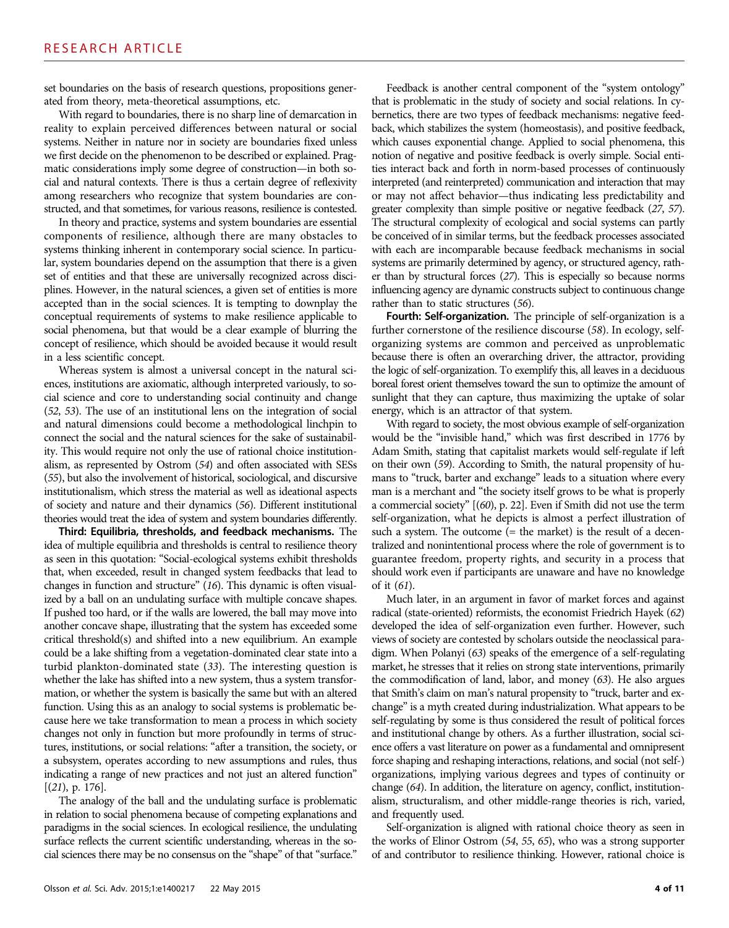set boundaries on the basis of research questions, propositions generated from theory, meta-theoretical assumptions, etc.

With regard to boundaries, there is no sharp line of demarcation in reality to explain perceived differences between natural or social systems. Neither in nature nor in society are boundaries fixed unless we first decide on the phenomenon to be described or explained. Pragmatic considerations imply some degree of construction—in both social and natural contexts. There is thus a certain degree of reflexivity among researchers who recognize that system boundaries are constructed, and that sometimes, for various reasons, resilience is contested.

In theory and practice, systems and system boundaries are essential components of resilience, although there are many obstacles to systems thinking inherent in contemporary social science. In particular, system boundaries depend on the assumption that there is a given set of entities and that these are universally recognized across disciplines. However, in the natural sciences, a given set of entities is more accepted than in the social sciences. It is tempting to downplay the conceptual requirements of systems to make resilience applicable to social phenomena, but that would be a clear example of blurring the concept of resilience, which should be avoided because it would result in a less scientific concept.

Whereas system is almost a universal concept in the natural sciences, institutions are axiomatic, although interpreted variously, to social science and core to understanding social continuity and change (52, 53). The use of an institutional lens on the integration of social and natural dimensions could become a methodological linchpin to connect the social and the natural sciences for the sake of sustainability. This would require not only the use of rational choice institutionalism, as represented by Ostrom (54) and often associated with SESs (55), but also the involvement of historical, sociological, and discursive institutionalism, which stress the material as well as ideational aspects of society and nature and their dynamics (56). Different institutional theories would treat the idea of system and system boundaries differently.

Third: Equilibria, thresholds, and feedback mechanisms. The idea of multiple equilibria and thresholds is central to resilience theory as seen in this quotation: "Social-ecological systems exhibit thresholds that, when exceeded, result in changed system feedbacks that lead to changes in function and structure" (16). This dynamic is often visualized by a ball on an undulating surface with multiple concave shapes. If pushed too hard, or if the walls are lowered, the ball may move into another concave shape, illustrating that the system has exceeded some critical threshold(s) and shifted into a new equilibrium. An example could be a lake shifting from a vegetation-dominated clear state into a turbid plankton-dominated state (33). The interesting question is whether the lake has shifted into a new system, thus a system transformation, or whether the system is basically the same but with an altered function. Using this as an analogy to social systems is problematic because here we take transformation to mean a process in which society changes not only in function but more profoundly in terms of structures, institutions, or social relations: "after a transition, the society, or a subsystem, operates according to new assumptions and rules, thus indicating a range of new practices and not just an altered function" [(21), p. 176].

The analogy of the ball and the undulating surface is problematic in relation to social phenomena because of competing explanations and paradigms in the social sciences. In ecological resilience, the undulating surface reflects the current scientific understanding, whereas in the social sciences there may be no consensus on the "shape" of that "surface."

Feedback is another central component of the "system ontology" that is problematic in the study of society and social relations. In cybernetics, there are two types of feedback mechanisms: negative feedback, which stabilizes the system (homeostasis), and positive feedback, which causes exponential change. Applied to social phenomena, this notion of negative and positive feedback is overly simple. Social entities interact back and forth in norm-based processes of continuously interpreted (and reinterpreted) communication and interaction that may or may not affect behavior—thus indicating less predictability and greater complexity than simple positive or negative feedback (27, 57). The structural complexity of ecological and social systems can partly be conceived of in similar terms, but the feedback processes associated with each are incomparable because feedback mechanisms in social systems are primarily determined by agency, or structured agency, rather than by structural forces (27). This is especially so because norms influencing agency are dynamic constructs subject to continuous change rather than to static structures (56).

Fourth: Self-organization. The principle of self-organization is a further cornerstone of the resilience discourse (58). In ecology, selforganizing systems are common and perceived as unproblematic because there is often an overarching driver, the attractor, providing the logic of self-organization. To exemplify this, all leaves in a deciduous boreal forest orient themselves toward the sun to optimize the amount of sunlight that they can capture, thus maximizing the uptake of solar energy, which is an attractor of that system.

With regard to society, the most obvious example of self-organization would be the "invisible hand," which was first described in 1776 by Adam Smith, stating that capitalist markets would self-regulate if left on their own (59). According to Smith, the natural propensity of humans to "truck, barter and exchange" leads to a situation where every man is a merchant and "the society itself grows to be what is properly a commercial society" [(60), p. 22]. Even if Smith did not use the term self-organization, what he depicts is almost a perfect illustration of such a system. The outcome (= the market) is the result of a decentralized and nonintentional process where the role of government is to guarantee freedom, property rights, and security in a process that should work even if participants are unaware and have no knowledge of it (61).

Much later, in an argument in favor of market forces and against radical (state-oriented) reformists, the economist Friedrich Hayek (62) developed the idea of self-organization even further. However, such views of society are contested by scholars outside the neoclassical paradigm. When Polanyi (63) speaks of the emergence of a self-regulating market, he stresses that it relies on strong state interventions, primarily the commodification of land, labor, and money (63). He also argues that Smith's claim on man's natural propensity to "truck, barter and exchange" is a myth created during industrialization. What appears to be self-regulating by some is thus considered the result of political forces and institutional change by others. As a further illustration, social science offers a vast literature on power as a fundamental and omnipresent force shaping and reshaping interactions, relations, and social (not self-) organizations, implying various degrees and types of continuity or change (64). In addition, the literature on agency, conflict, institutionalism, structuralism, and other middle-range theories is rich, varied, and frequently used.

Self-organization is aligned with rational choice theory as seen in the works of Elinor Ostrom (54, 55, 65), who was a strong supporter of and contributor to resilience thinking. However, rational choice is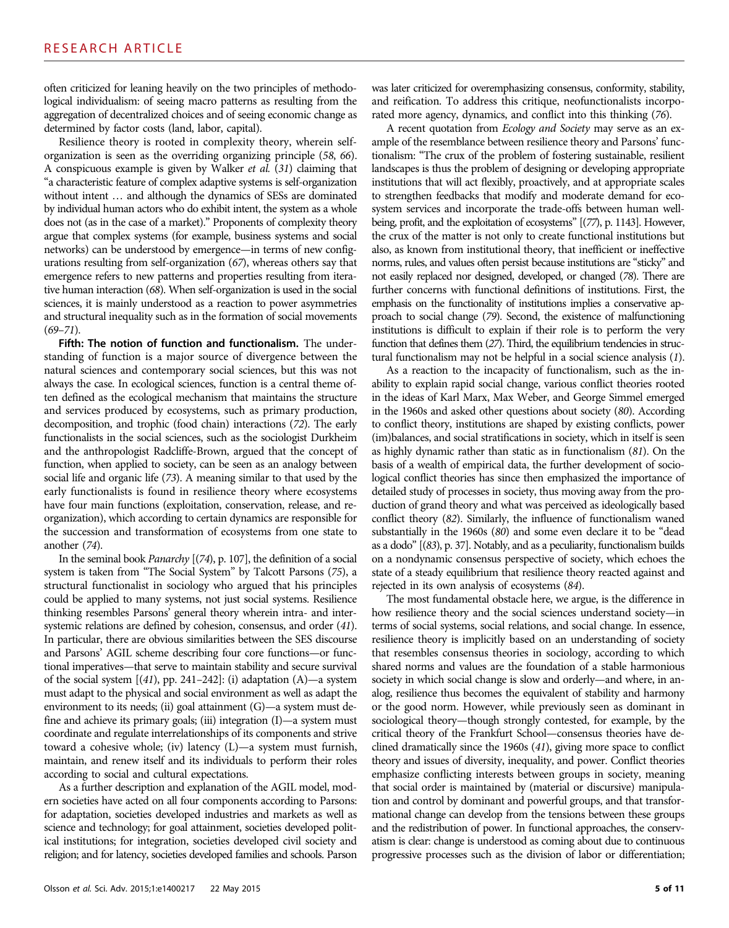often criticized for leaning heavily on the two principles of methodological individualism: of seeing macro patterns as resulting from the aggregation of decentralized choices and of seeing economic change as determined by factor costs (land, labor, capital).

Resilience theory is rooted in complexity theory, wherein selforganization is seen as the overriding organizing principle (58, 66). A conspicuous example is given by Walker et al. (31) claiming that "a characteristic feature of complex adaptive systems is self-organization without intent … and although the dynamics of SESs are dominated by individual human actors who do exhibit intent, the system as a whole does not (as in the case of a market)." Proponents of complexity theory argue that complex systems (for example, business systems and social networks) can be understood by emergence—in terms of new configurations resulting from self-organization (67), whereas others say that emergence refers to new patterns and properties resulting from iterative human interaction (68). When self-organization is used in the social sciences, it is mainly understood as a reaction to power asymmetries and structural inequality such as in the formation of social movements  $(69 - 71)$ .

Fifth: The notion of function and functionalism. The understanding of function is a major source of divergence between the natural sciences and contemporary social sciences, but this was not always the case. In ecological sciences, function is a central theme often defined as the ecological mechanism that maintains the structure and services produced by ecosystems, such as primary production, decomposition, and trophic (food chain) interactions (72). The early functionalists in the social sciences, such as the sociologist Durkheim and the anthropologist Radcliffe-Brown, argued that the concept of function, when applied to society, can be seen as an analogy between social life and organic life (73). A meaning similar to that used by the early functionalists is found in resilience theory where ecosystems have four main functions (exploitation, conservation, release, and reorganization), which according to certain dynamics are responsible for the succession and transformation of ecosystems from one state to another (74).

In the seminal book Panarchy [(74), p. 107], the definition of a social system is taken from "The Social System" by Talcott Parsons (75), a structural functionalist in sociology who argued that his principles could be applied to many systems, not just social systems. Resilience thinking resembles Parsons' general theory wherein intra- and intersystemic relations are defined by cohesion, consensus, and order (41). In particular, there are obvious similarities between the SES discourse and Parsons' AGIL scheme describing four core functions—or functional imperatives—that serve to maintain stability and secure survival of the social system  $[(41)$ , pp. 241–242]: (i) adaptation  $(A)$ —a system must adapt to the physical and social environment as well as adapt the environment to its needs; (ii) goal attainment (G)—a system must define and achieve its primary goals; (iii) integration (I)—a system must coordinate and regulate interrelationships of its components and strive toward a cohesive whole; (iv) latency (L)—a system must furnish, maintain, and renew itself and its individuals to perform their roles according to social and cultural expectations.

As a further description and explanation of the AGIL model, modern societies have acted on all four components according to Parsons: for adaptation, societies developed industries and markets as well as science and technology; for goal attainment, societies developed political institutions; for integration, societies developed civil society and religion; and for latency, societies developed families and schools. Parson was later criticized for overemphasizing consensus, conformity, stability, and reification. To address this critique, neofunctionalists incorporated more agency, dynamics, and conflict into this thinking (76).

A recent quotation from Ecology and Society may serve as an example of the resemblance between resilience theory and Parsons' functionalism: "The crux of the problem of fostering sustainable, resilient landscapes is thus the problem of designing or developing appropriate institutions that will act flexibly, proactively, and at appropriate scales to strengthen feedbacks that modify and moderate demand for ecosystem services and incorporate the trade-offs between human wellbeing, profit, and the exploitation of ecosystems" [(77), p. 1143]. However, the crux of the matter is not only to create functional institutions but also, as known from institutional theory, that inefficient or ineffective norms, rules, and values often persist because institutions are "sticky" and not easily replaced nor designed, developed, or changed (78). There are further concerns with functional definitions of institutions. First, the emphasis on the functionality of institutions implies a conservative approach to social change (79). Second, the existence of malfunctioning institutions is difficult to explain if their role is to perform the very function that defines them (27). Third, the equilibrium tendencies in structural functionalism may not be helpful in a social science analysis (1).

As a reaction to the incapacity of functionalism, such as the inability to explain rapid social change, various conflict theories rooted in the ideas of Karl Marx, Max Weber, and George Simmel emerged in the 1960s and asked other questions about society (80). According to conflict theory, institutions are shaped by existing conflicts, power (im)balances, and social stratifications in society, which in itself is seen as highly dynamic rather than static as in functionalism (81). On the basis of a wealth of empirical data, the further development of sociological conflict theories has since then emphasized the importance of detailed study of processes in society, thus moving away from the production of grand theory and what was perceived as ideologically based conflict theory (82). Similarly, the influence of functionalism waned substantially in the 1960s (80) and some even declare it to be "dead as a dodo"[(83), p. 37]. Notably, and as a peculiarity, functionalism builds on a nondynamic consensus perspective of society, which echoes the state of a steady equilibrium that resilience theory reacted against and rejected in its own analysis of ecosystems (84).

The most fundamental obstacle here, we argue, is the difference in how resilience theory and the social sciences understand society—in terms of social systems, social relations, and social change. In essence, resilience theory is implicitly based on an understanding of society that resembles consensus theories in sociology, according to which shared norms and values are the foundation of a stable harmonious society in which social change is slow and orderly—and where, in analog, resilience thus becomes the equivalent of stability and harmony or the good norm. However, while previously seen as dominant in sociological theory—though strongly contested, for example, by the critical theory of the Frankfurt School—consensus theories have declined dramatically since the 1960s (41), giving more space to conflict theory and issues of diversity, inequality, and power. Conflict theories emphasize conflicting interests between groups in society, meaning that social order is maintained by (material or discursive) manipulation and control by dominant and powerful groups, and that transformational change can develop from the tensions between these groups and the redistribution of power. In functional approaches, the conservatism is clear: change is understood as coming about due to continuous progressive processes such as the division of labor or differentiation;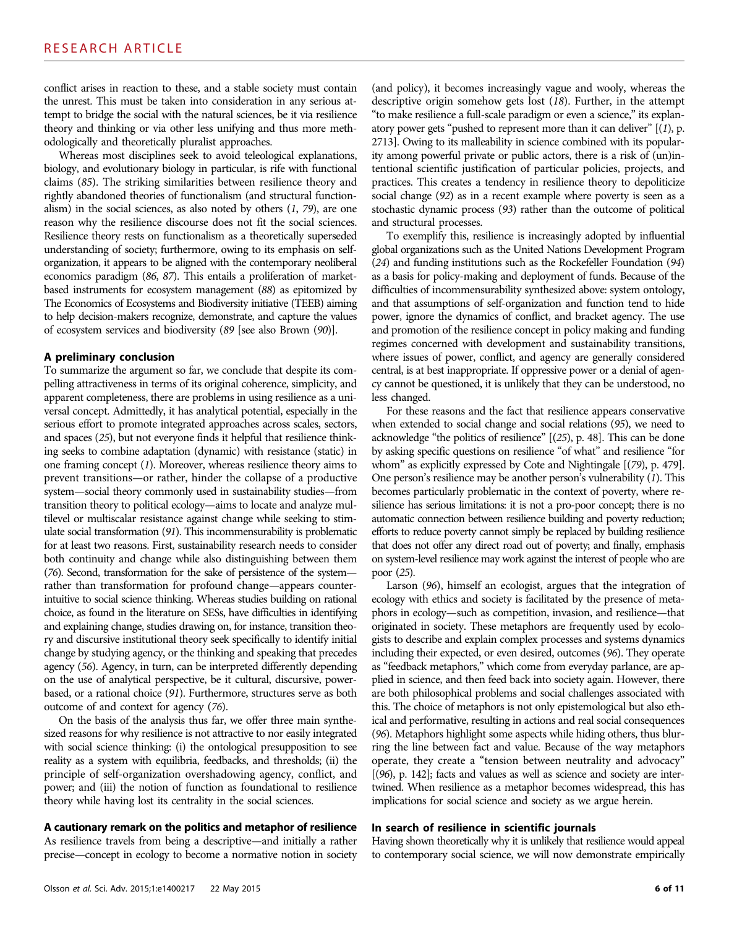conflict arises in reaction to these, and a stable society must contain the unrest. This must be taken into consideration in any serious attempt to bridge the social with the natural sciences, be it via resilience theory and thinking or via other less unifying and thus more methodologically and theoretically pluralist approaches.

Whereas most disciplines seek to avoid teleological explanations, biology, and evolutionary biology in particular, is rife with functional claims (85). The striking similarities between resilience theory and rightly abandoned theories of functionalism (and structural functionalism) in the social sciences, as also noted by others  $(1, 79)$ , are one reason why the resilience discourse does not fit the social sciences. Resilience theory rests on functionalism as a theoretically superseded understanding of society; furthermore, owing to its emphasis on selforganization, it appears to be aligned with the contemporary neoliberal economics paradigm (86, 87). This entails a proliferation of marketbased instruments for ecosystem management (88) as epitomized by The Economics of Ecosystems and Biodiversity initiative (TEEB) aiming to help decision-makers recognize, demonstrate, and capture the values of ecosystem services and biodiversity (89 [see also Brown (90)].

#### A preliminary conclusion

To summarize the argument so far, we conclude that despite its compelling attractiveness in terms of its original coherence, simplicity, and apparent completeness, there are problems in using resilience as a universal concept. Admittedly, it has analytical potential, especially in the serious effort to promote integrated approaches across scales, sectors, and spaces (25), but not everyone finds it helpful that resilience thinking seeks to combine adaptation (dynamic) with resistance (static) in one framing concept (1). Moreover, whereas resilience theory aims to prevent transitions—or rather, hinder the collapse of a productive system—social theory commonly used in sustainability studies—from transition theory to political ecology—aims to locate and analyze multilevel or multiscalar resistance against change while seeking to stimulate social transformation (91). This incommensurability is problematic for at least two reasons. First, sustainability research needs to consider both continuity and change while also distinguishing between them (76). Second, transformation for the sake of persistence of the system rather than transformation for profound change—appears counterintuitive to social science thinking. Whereas studies building on rational choice, as found in the literature on SESs, have difficulties in identifying and explaining change, studies drawing on, for instance, transition theory and discursive institutional theory seek specifically to identify initial change by studying agency, or the thinking and speaking that precedes agency (56). Agency, in turn, can be interpreted differently depending on the use of analytical perspective, be it cultural, discursive, powerbased, or a rational choice (91). Furthermore, structures serve as both outcome of and context for agency (76).

On the basis of the analysis thus far, we offer three main synthesized reasons for why resilience is not attractive to nor easily integrated with social science thinking: (i) the ontological presupposition to see reality as a system with equilibria, feedbacks, and thresholds; (ii) the principle of self-organization overshadowing agency, conflict, and power; and (iii) the notion of function as foundational to resilience theory while having lost its centrality in the social sciences.

# A cautionary remark on the politics and metaphor of resilience

As resilience travels from being a descriptive—and initially a rather precise—concept in ecology to become a normative notion in society (and policy), it becomes increasingly vague and wooly, whereas the descriptive origin somehow gets lost (18). Further, in the attempt "to make resilience a full-scale paradigm or even a science," its explanatory power gets "pushed to represent more than it can deliver"  $[(1), p$ . 2713]. Owing to its malleability in science combined with its popularity among powerful private or public actors, there is a risk of (un)intentional scientific justification of particular policies, projects, and practices. This creates a tendency in resilience theory to depoliticize social change (92) as in a recent example where poverty is seen as a stochastic dynamic process (93) rather than the outcome of political and structural processes.

To exemplify this, resilience is increasingly adopted by influential global organizations such as the United Nations Development Program (24) and funding institutions such as the Rockefeller Foundation (94) as a basis for policy-making and deployment of funds. Because of the difficulties of incommensurability synthesized above: system ontology, and that assumptions of self-organization and function tend to hide power, ignore the dynamics of conflict, and bracket agency. The use and promotion of the resilience concept in policy making and funding regimes concerned with development and sustainability transitions, where issues of power, conflict, and agency are generally considered central, is at best inappropriate. If oppressive power or a denial of agency cannot be questioned, it is unlikely that they can be understood, no less changed.

For these reasons and the fact that resilience appears conservative when extended to social change and social relations (95), we need to acknowledge "the politics of resilience" [(25), p. 48]. This can be done by asking specific questions on resilience "of what" and resilience "for whom" as explicitly expressed by Cote and Nightingale [(79), p. 479]. One person's resilience may be another person's vulnerability (1). This becomes particularly problematic in the context of poverty, where resilience has serious limitations: it is not a pro-poor concept; there is no automatic connection between resilience building and poverty reduction; efforts to reduce poverty cannot simply be replaced by building resilience that does not offer any direct road out of poverty; and finally, emphasis on system-level resilience may work against the interest of people who are poor (25).

Larson (96), himself an ecologist, argues that the integration of ecology with ethics and society is facilitated by the presence of metaphors in ecology—such as competition, invasion, and resilience—that originated in society. These metaphors are frequently used by ecologists to describe and explain complex processes and systems dynamics including their expected, or even desired, outcomes (96). They operate as "feedback metaphors," which come from everyday parlance, are applied in science, and then feed back into society again. However, there are both philosophical problems and social challenges associated with this. The choice of metaphors is not only epistemological but also ethical and performative, resulting in actions and real social consequences (96). Metaphors highlight some aspects while hiding others, thus blurring the line between fact and value. Because of the way metaphors operate, they create a "tension between neutrality and advocacy" [(96), p. 142]; facts and values as well as science and society are intertwined. When resilience as a metaphor becomes widespread, this has implications for social science and society as we argue herein.

# In search of resilience in scientific journals

Having shown theoretically why it is unlikely that resilience would appeal to contemporary social science, we will now demonstrate empirically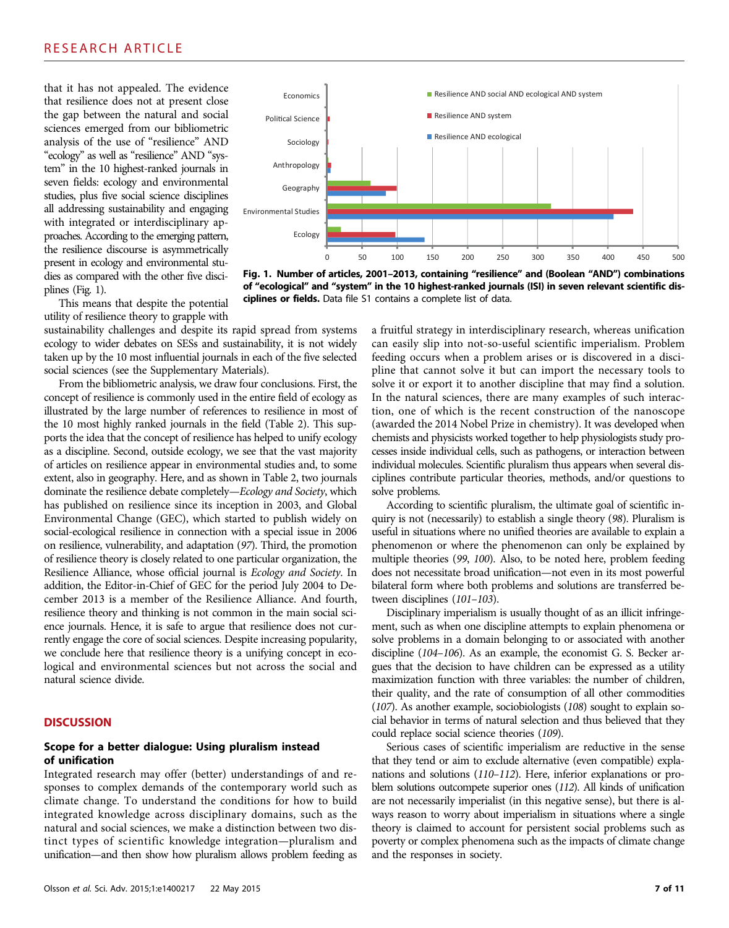# RESEARCH ARTICLE

that it has not appealed. The evidence that resilience does not at present close the gap between the natural and social sciences emerged from our bibliometric analysis of the use of "resilience" AND "ecology" as well as "resilience" AND "system" in the 10 highest-ranked journals in seven fields: ecology and environmental studies, plus five social science disciplines all addressing sustainability and engaging with integrated or interdisciplinary approaches. According to the emerging pattern, the resilience discourse is asymmetrically present in ecology and environmental studies as compared with the other five disciplines (Fig. 1).

This means that despite the potential utility of resilience theory to grapple with

sustainability challenges and despite its rapid spread from systems ecology to wider debates on SESs and sustainability, it is not widely taken up by the 10 most influential journals in each of the five selected social sciences (see the Supplementary Materials).

From the bibliometric analysis, we draw four conclusions. First, the concept of resilience is commonly used in the entire field of ecology as illustrated by the large number of references to resilience in most of the 10 most highly ranked journals in the field (Table 2). This supports the idea that the concept of resilience has helped to unify ecology as a discipline. Second, outside ecology, we see that the vast majority of articles on resilience appear in environmental studies and, to some extent, also in geography. Here, and as shown in Table 2, two journals dominate the resilience debate completely—Ecology and Society, which has published on resilience since its inception in 2003, and Global Environmental Change (GEC), which started to publish widely on social-ecological resilience in connection with a special issue in 2006 on resilience, vulnerability, and adaptation (97). Third, the promotion of resilience theory is closely related to one particular organization, the Resilience Alliance, whose official journal is Ecology and Society. In addition, the Editor-in-Chief of GEC for the period July 2004 to December 2013 is a member of the Resilience Alliance. And fourth, resilience theory and thinking is not common in the main social science journals. Hence, it is safe to argue that resilience does not currently engage the core of social sciences. Despite increasing popularity, we conclude here that resilience theory is a unifying concept in ecological and environmental sciences but not across the social and natural science divide.

# **DISCUSSION**

#### Scope for a better dialogue: Using pluralism instead of unification

Integrated research may offer (better) understandings of and responses to complex demands of the contemporary world such as climate change. To understand the conditions for how to build integrated knowledge across disciplinary domains, such as the natural and social sciences, we make a distinction between two distinct types of scientific knowledge integration—pluralism and unification—and then show how pluralism allows problem feeding as



Fig. 1. Number of articles, 2001–2013, containing "resilience" and (Boolean "AND") combinations of "ecological" and "system" in the 10 highest-ranked journals (ISI) in seven relevant scientific disciplines or fields. Data file S1 contains a complete list of data.

a fruitful strategy in interdisciplinary research, whereas unification can easily slip into not-so-useful scientific imperialism. Problem feeding occurs when a problem arises or is discovered in a discipline that cannot solve it but can import the necessary tools to solve it or export it to another discipline that may find a solution. In the natural sciences, there are many examples of such interaction, one of which is the recent construction of the nanoscope (awarded the 2014 Nobel Prize in chemistry). It was developed when chemists and physicists worked together to help physiologists study processes inside individual cells, such as pathogens, or interaction between individual molecules. Scientific pluralism thus appears when several disciplines contribute particular theories, methods, and/or questions to solve problems.

According to scientific pluralism, the ultimate goal of scientific inquiry is not (necessarily) to establish a single theory (98). Pluralism is useful in situations where no unified theories are available to explain a phenomenon or where the phenomenon can only be explained by multiple theories (99, 100). Also, to be noted here, problem feeding does not necessitate broad unification—not even in its most powerful bilateral form where both problems and solutions are transferred between disciplines (101–103).

Disciplinary imperialism is usually thought of as an illicit infringement, such as when one discipline attempts to explain phenomena or solve problems in a domain belonging to or associated with another discipline (104–106). As an example, the economist G. S. Becker argues that the decision to have children can be expressed as a utility maximization function with three variables: the number of children, their quality, and the rate of consumption of all other commodities (107). As another example, sociobiologists (108) sought to explain social behavior in terms of natural selection and thus believed that they could replace social science theories (109).

Serious cases of scientific imperialism are reductive in the sense that they tend or aim to exclude alternative (even compatible) explanations and solutions (110–112). Here, inferior explanations or problem solutions outcompete superior ones (112). All kinds of unification are not necessarily imperialist (in this negative sense), but there is always reason to worry about imperialism in situations where a single theory is claimed to account for persistent social problems such as poverty or complex phenomena such as the impacts of climate change and the responses in society.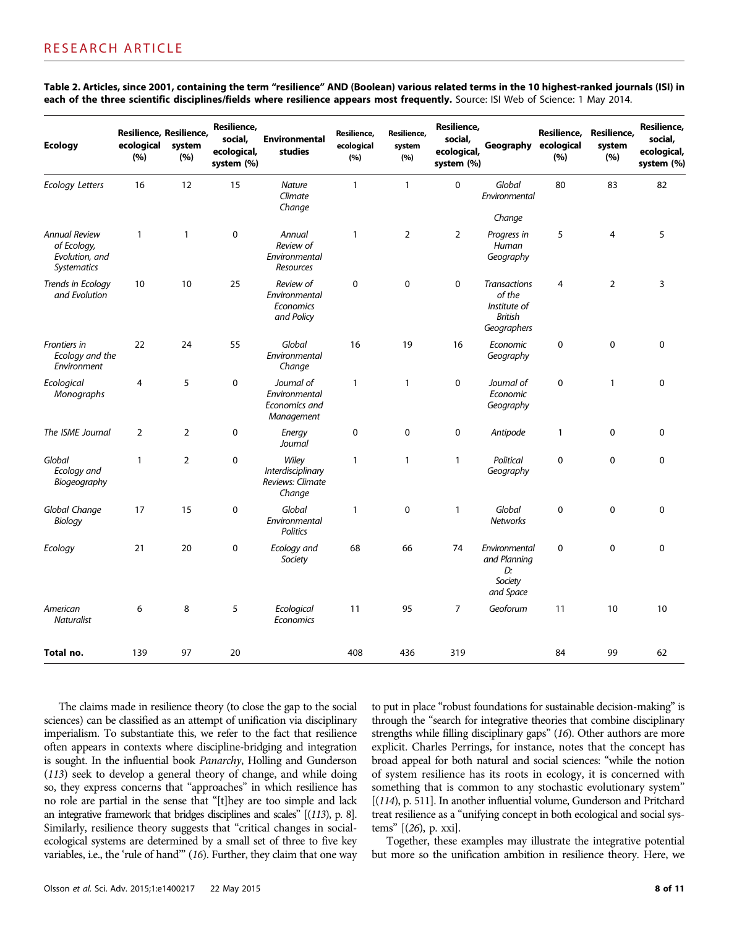| <b>Ecology</b>                                                              | Resilience, Resilience,<br>ecological<br>(%) | system<br>(%)  | Resilience,<br>social,<br>ecological,<br>system (%) | <b>Environmental</b><br>studies                            | Resilience,<br>ecological<br>(%) | Resilience,<br>system<br>(%) | Resilience,<br>social,<br>ecological,<br>system (%) | Geography                                                                      | Resilience,<br>ecological<br>(%) | Resilience,<br>system<br>(%) | Resilience,<br>social,<br>ecological,<br>system (%) |
|-----------------------------------------------------------------------------|----------------------------------------------|----------------|-----------------------------------------------------|------------------------------------------------------------|----------------------------------|------------------------------|-----------------------------------------------------|--------------------------------------------------------------------------------|----------------------------------|------------------------------|-----------------------------------------------------|
| <b>Ecology Letters</b>                                                      | 16                                           | 12             | 15                                                  | <b>Nature</b><br>Climate<br>Change                         | $\mathbf{1}$                     | $\mathbf{1}$                 | 0                                                   | Global<br>Environmental<br>Change                                              | 80                               | 83                           | 82                                                  |
| <b>Annual Review</b><br>of Ecology,<br>Evolution, and<br><b>Systematics</b> | $\mathbf{1}$                                 | $\mathbf{1}$   | $\mathbf 0$                                         | Annual<br>Review of<br>Environmental<br>Resources          | 1                                | $\overline{2}$               | $\overline{2}$                                      | Progress in<br>Human<br>Geography                                              | 5                                | 4                            | 5                                                   |
| Trends in Ecology<br>and Evolution                                          | 10                                           | 10             | 25                                                  | Review of<br>Environmental<br>Economics<br>and Policy      | $\pmb{0}$                        | 0                            | $\pmb{0}$                                           | <b>Transactions</b><br>of the<br>Institute of<br><b>British</b><br>Geographers | $\overline{4}$                   | $\overline{2}$               | 3                                                   |
| Frontiers in<br>Ecology and the<br>Environment                              | 22                                           | 24             | 55                                                  | Global<br>Environmental<br>Change                          | 16                               | 19                           | 16                                                  | Economic<br>Geography                                                          | 0                                | 0                            | 0                                                   |
| Ecological<br>Monographs                                                    | 4                                            | 5              | $\mathbf 0$                                         | Journal of<br>Environmental<br>Economics and<br>Management | $\mathbf{1}$                     | $\mathbf{1}$                 | $\mathbf 0$                                         | Journal of<br>Economic<br>Geography                                            | $\mathbf 0$                      | 1                            | 0                                                   |
| The ISME Journal                                                            | $\overline{2}$                               | $\overline{2}$ | $\pmb{0}$                                           | Energy<br>Journal                                          | 0                                | $\mathbf 0$                  | $\pmb{0}$                                           | Antipode                                                                       | $\mathbf{1}$                     | 0                            | 0                                                   |
| Global<br>Ecology and<br>Biogeography                                       | $\mathbf{1}$                                 | $\overline{2}$ | 0                                                   | Wiley<br>Interdisciplinary<br>Reviews: Climate<br>Change   | 1                                | $\mathbf{1}$                 | 1                                                   | Political<br>Geography                                                         | $\mathbf 0$                      | 0                            | 0                                                   |
| Global Change<br>Biology                                                    | 17                                           | 15             | $\pmb{0}$                                           | Global<br>Environmental<br>Politics                        | 1                                | 0                            | $\mathbf{1}$                                        | Global<br><b>Networks</b>                                                      | $\pmb{0}$                        | $\mathbf 0$                  | 0                                                   |
| Ecology                                                                     | 21                                           | 20             | $\mathbf 0$                                         | Ecology and<br>Society                                     | 68                               | 66                           | 74                                                  | Environmental<br>and Planning<br>D:<br>Society<br>and Space                    | $\mathbf 0$                      | $\mathbf 0$                  | 0                                                   |
| American<br><b>Naturalist</b>                                               | 6                                            | 8              | 5                                                   | Ecological<br>Economics                                    | 11                               | 95                           | 7                                                   | Geoforum                                                                       | 11                               | 10                           | 10                                                  |
| Total no.                                                                   | 139                                          | 97             | 20                                                  |                                                            | 408                              | 436                          | 319                                                 |                                                                                | 84                               | 99                           | 62                                                  |

Table 2. Articles, since 2001, containing the term "resilience" AND (Boolean) various related terms in the 10 highest-ranked journals (ISI) in each of the three scientific disciplines/fields where resilience appears most frequently. Source: ISI Web of Science: 1 May 2014.

The claims made in resilience theory (to close the gap to the social sciences) can be classified as an attempt of unification via disciplinary imperialism. To substantiate this, we refer to the fact that resilience often appears in contexts where discipline-bridging and integration is sought. In the influential book Panarchy, Holling and Gunderson (113) seek to develop a general theory of change, and while doing so, they express concerns that "approaches" in which resilience has no role are partial in the sense that "[t]hey are too simple and lack an integrative framework that bridges disciplines and scales" [(113), p. 8]. Similarly, resilience theory suggests that "critical changes in socialecological systems are determined by a small set of three to five key variables, i.e., the 'rule of hand'" (16). Further, they claim that one way

to put in place "robust foundations for sustainable decision-making" is through the "search for integrative theories that combine disciplinary strengths while filling disciplinary gaps" (16). Other authors are more explicit. Charles Perrings, for instance, notes that the concept has broad appeal for both natural and social sciences: "while the notion of system resilience has its roots in ecology, it is concerned with something that is common to any stochastic evolutionary system" [(114), p. 511]. In another influential volume, Gunderson and Pritchard treat resilience as a "unifying concept in both ecological and social systems" [(26), p. xxi].

Together, these examples may illustrate the integrative potential but more so the unification ambition in resilience theory. Here, we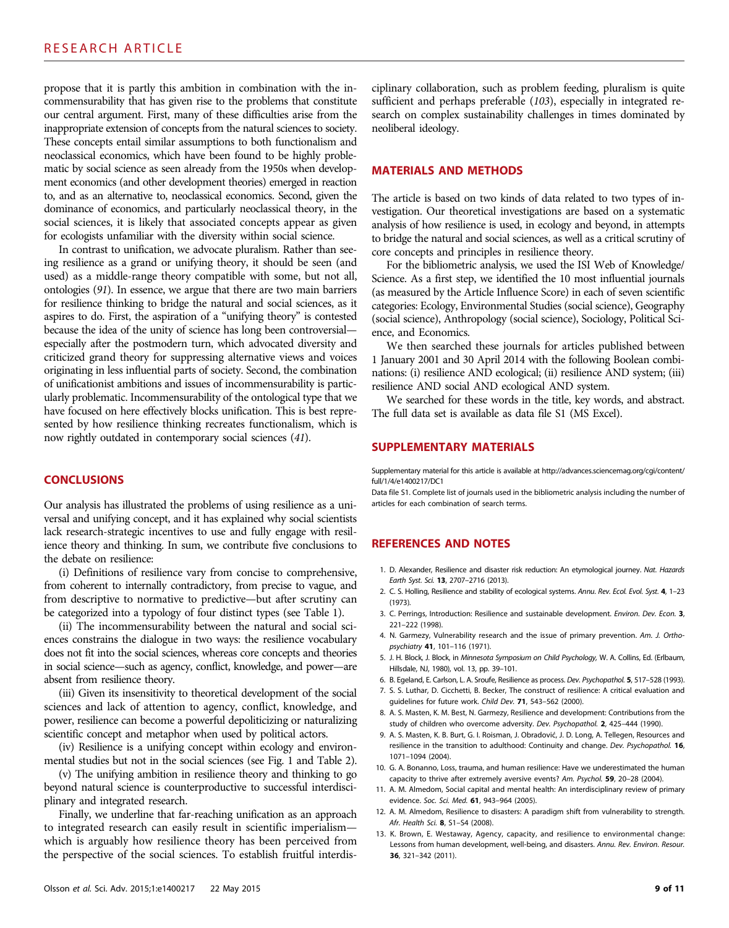propose that it is partly this ambition in combination with the incommensurability that has given rise to the problems that constitute our central argument. First, many of these difficulties arise from the inappropriate extension of concepts from the natural sciences to society. These concepts entail similar assumptions to both functionalism and neoclassical economics, which have been found to be highly problematic by social science as seen already from the 1950s when development economics (and other development theories) emerged in reaction to, and as an alternative to, neoclassical economics. Second, given the dominance of economics, and particularly neoclassical theory, in the social sciences, it is likely that associated concepts appear as given for ecologists unfamiliar with the diversity within social science.

In contrast to unification, we advocate pluralism. Rather than seeing resilience as a grand or unifying theory, it should be seen (and used) as a middle-range theory compatible with some, but not all, ontologies (91). In essence, we argue that there are two main barriers for resilience thinking to bridge the natural and social sciences, as it aspires to do. First, the aspiration of a "unifying theory" is contested because the idea of the unity of science has long been controversial especially after the postmodern turn, which advocated diversity and criticized grand theory for suppressing alternative views and voices originating in less influential parts of society. Second, the combination of unificationist ambitions and issues of incommensurability is particularly problematic. Incommensurability of the ontological type that we have focused on here effectively blocks unification. This is best represented by how resilience thinking recreates functionalism, which is now rightly outdated in contemporary social sciences (41).

### **CONCLUSIONS**

Our analysis has illustrated the problems of using resilience as a universal and unifying concept, and it has explained why social scientists lack research-strategic incentives to use and fully engage with resilience theory and thinking. In sum, we contribute five conclusions to the debate on resilience:

(i) Definitions of resilience vary from concise to comprehensive, from coherent to internally contradictory, from precise to vague, and from descriptive to normative to predictive—but after scrutiny can be categorized into a typology of four distinct types (see Table 1).

(ii) The incommensurability between the natural and social sciences constrains the dialogue in two ways: the resilience vocabulary does not fit into the social sciences, whereas core concepts and theories in social science—such as agency, conflict, knowledge, and power—are absent from resilience theory.

(iii) Given its insensitivity to theoretical development of the social sciences and lack of attention to agency, conflict, knowledge, and power, resilience can become a powerful depoliticizing or naturalizing scientific concept and metaphor when used by political actors.

(iv) Resilience is a unifying concept within ecology and environmental studies but not in the social sciences (see Fig. 1 and Table 2).

(v) The unifying ambition in resilience theory and thinking to go beyond natural science is counterproductive to successful interdisciplinary and integrated research.

Finally, we underline that far-reaching unification as an approach to integrated research can easily result in scientific imperialism which is arguably how resilience theory has been perceived from the perspective of the social sciences. To establish fruitful interdisciplinary collaboration, such as problem feeding, pluralism is quite sufficient and perhaps preferable (103), especially in integrated research on complex sustainability challenges in times dominated by neoliberal ideology.

#### MATERIALS AND METHODS

The article is based on two kinds of data related to two types of investigation. Our theoretical investigations are based on a systematic analysis of how resilience is used, in ecology and beyond, in attempts to bridge the natural and social sciences, as well as a critical scrutiny of core concepts and principles in resilience theory.

For the bibliometric analysis, we used the ISI Web of Knowledge/ Science. As a first step, we identified the 10 most influential journals (as measured by the Article Influence Score) in each of seven scientific categories: Ecology, Environmental Studies (social science), Geography (social science), Anthropology (social science), Sociology, Political Science, and Economics.

We then searched these journals for articles published between 1 January 2001 and 30 April 2014 with the following Boolean combinations: (i) resilience AND ecological; (ii) resilience AND system; (iii) resilience AND social AND ecological AND system.

We searched for these words in the title, key words, and abstract. The full data set is available as data file S1 (MS Excel).

#### SUPPLEMENTARY MATERIALS

Supplementary material for this article is available at http://advances.sciencemag.org/cgi/content/ full/1/4/e1400217/DC1

Data file S1. Complete list of journals used in the bibliometric analysis including the number of articles for each combination of search terms.

# REFERENCES AND NOTES

- 1. D. Alexander, Resilience and disaster risk reduction: An etymological journey. Nat. Hazards Earth Syst. Sci. 13, 2707–2716 (2013).
- 2. C. S. Holling, Resilience and stability of ecological systems. Annu. Rev. Ecol. Evol. Syst. 4, 1–23 (1973).
- 3. C. Perrings, Introduction: Resilience and sustainable development. Environ. Dev. Econ. 3, 221–222 (1998).
- 4. N. Garmezy, Vulnerability research and the issue of primary prevention. Am. J. Orthopsychiatry 41, 101–116 (1971).
- 5. J. H. Block, J. Block, in Minnesota Symposium on Child Psychology, W. A. Collins, Ed. (Erlbaum, Hillsdale, NJ, 1980), vol. 13, pp. 39–101.
- 6. B. Egeland, E. Carlson, L. A. Sroufe, Resilience as process. Dev. Psychopathol. 5, 517–528 (1993).
- 7. S. S. Luthar, D. Cicchetti, B. Becker, The construct of resilience: A critical evaluation and guidelines for future work. Child Dev. 71, 543–562 (2000).
- 8. A. S. Masten, K. M. Best, N. Garmezy, Resilience and development: Contributions from the study of children who overcome adversity. Dev. Psychopathol. 2, 425–444 (1990).
- 9. A. S. Masten, K. B. Burt, G. I. Roisman, J. Obradović, J. D. Long, A. Tellegen, Resources and resilience in the transition to adulthood: Continuity and change. Dev. Psychopathol. 16, 1071–1094 (2004).
- 10. G. A. Bonanno, Loss, trauma, and human resilience: Have we underestimated the human capacity to thrive after extremely aversive events? Am. Psychol. 59, 20–28 (2004).
- 11. A. M. Almedom, Social capital and mental health: An interdisciplinary review of primary evidence. Soc. Sci. Med. 61, 943–964 (2005).
- 12. A. M. Almedom, Resilience to disasters: A paradigm shift from vulnerability to strength. Afr. Health Sci. 8, S1–S4 (2008).
- 13. K. Brown, E. Westaway, Agency, capacity, and resilience to environmental change: Lessons from human development, well-being, and disasters. Annu. Rev. Environ. Resour. 36, 321–342 (2011).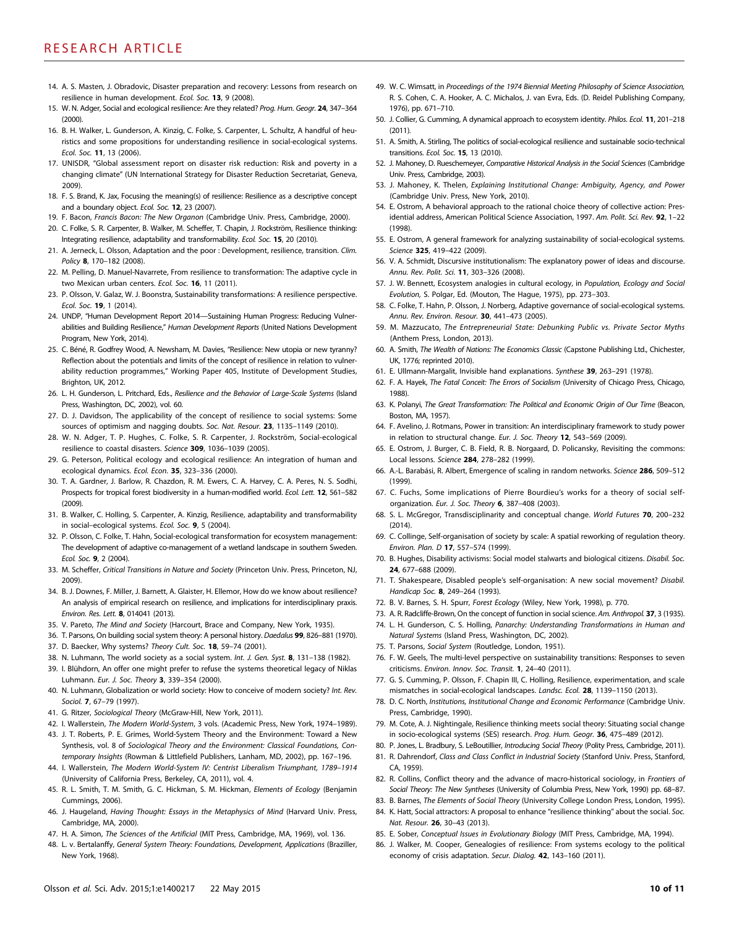- 14. A. S. Masten, J. Obradovic, Disaster preparation and recovery: Lessons from research on resilience in human development. Ecol. Soc. 13, 9 (2008).
- 15. W. N. Adger, Social and ecological resilience: Are they related? Prog. Hum. Geogr. 24, 347-364 (2000).
- 16. B. H. Walker, L. Gunderson, A. Kinzig, C. Folke, S. Carpenter, L. Schultz, A handful of heuristics and some propositions for understanding resilience in social-ecological systems. Ecol. Soc. 11, 13 (2006).
- 17. UNISDR, "Global assessment report on disaster risk reduction: Risk and poverty in a changing climate" (UN International Strategy for Disaster Reduction Secretariat, Geneva, 2009).
- 18. F. S. Brand, K. Jax, Focusing the meaning(s) of resilience: Resilience as a descriptive concept and a boundary object. Ecol. Soc. 12, 23 (2007).
- 19. F. Bacon, Francis Bacon: The New Organon (Cambridge Univ. Press, Cambridge, 2000).
- 20. C. Folke, S. R. Carpenter, B. Walker, M. Scheffer, T. Chapin, J. Rockström, Resilience thinking: Integrating resilience, adaptability and transformability. Ecol. Soc. 15, 20 (2010).
- 21. A. Jerneck, L. Olsson, Adaptation and the poor : Development, resilience, transition. Clim. Policy 8, 170–182 (2008).
- 22. M. Pelling, D. Manuel-Navarrete, From resilience to transformation: The adaptive cycle in two Mexican urban centers. Ecol. Soc. 16, 11 (2011).
- 23. P. Olsson, V. Galaz, W. J. Boonstra, Sustainability transformations: A resilience perspective. Ecol. Soc. 19, 1 (2014).
- 24. UNDP, "Human Development Report 2014—Sustaining Human Progress: Reducing Vulnerabilities and Building Resilience," Human Development Reports (United Nations Development Program, New York, 2014).
- 25. C. Béné, R. Godfrey Wood, A. Newsham, M. Davies, "Resilience: New utopia or new tyranny? Reflection about the potentials and limits of the concept of resilience in relation to vulnerability reduction programmes," Working Paper 405, Institute of Development Studies, Brighton, UK, 2012.
- 26. L. H. Gunderson, L. Pritchard, Eds., Resilience and the Behavior of Large-Scale Systems (Island Press, Washington, DC, 2002), vol. 60.
- 27. D. J. Davidson, The applicability of the concept of resilience to social systems: Some sources of optimism and nagging doubts. Soc. Nat. Resour. 23, 1135-1149 (2010).
- 28. W. N. Adger, T. P. Hughes, C. Folke, S. R. Carpenter, J. Rockström, Social-ecological resilience to coastal disasters. Science 309, 1036–1039 (2005).
- 29. G. Peterson, Political ecology and ecological resilience: An integration of human and ecological dynamics. Ecol. Econ. 35, 323–336 (2000).
- 30. T. A. Gardner, J. Barlow, R. Chazdon, R. M. Ewers, C. A. Harvey, C. A. Peres, N. S. Sodhi, Prospects for tropical forest biodiversity in a human-modified world. Ecol. Lett. 12, 561-582 (2009).
- 31. B. Walker, C. Holling, S. Carpenter, A. Kinzig, Resilience, adaptability and transformability in social–ecological systems. Ecol. Soc. 9, 5 (2004).
- 32. P. Olsson, C. Folke, T. Hahn, Social-ecological transformation for ecosystem management: The development of adaptive co-management of a wetland landscape in southern Sweden. Ecol. Soc. 9, 2 (2004).
- 33. M. Scheffer, Critical Transitions in Nature and Society (Princeton Univ. Press, Princeton, NJ, 2009).
- 34. B. J. Downes, F. Miller, J. Barnett, A. Glaister, H. Ellemor, How do we know about resilience? An analysis of empirical research on resilience, and implications for interdisciplinary praxis. Environ. Res. Lett. 8, 014041 (2013).
- 35. V. Pareto, The Mind and Society (Harcourt, Brace and Company, New York, 1935).
- 36. T. Parsons, On building social system theory: A personal history. Daedalus 99, 826–881 (1970).
- 37. D. Baecker, Why systems? Theory Cult. Soc. 18, 59–74 (2001).
- 38. N. Luhmann, The world society as a social system. Int. J. Gen. Syst. 8, 131-138 (1982).
- 39. I. Blühdorn, An offer one might prefer to refuse the systems theoretical legacy of Niklas Luhmann. Eur. J. Soc. Theory 3, 339–354 (2000).
- 40. N. Luhmann, Globalization or world society: How to conceive of modern society? Int. Rev. Sociol. 7, 67–79 (1997).
- 41. G. Ritzer, Sociological Theory (McGraw-Hill, New York, 2011).
- 42. I. Wallerstein, The Modern World-System, 3 vols. (Academic Press, New York, 1974–1989).
- 43. J. T. Roberts, P. E. Grimes, World-System Theory and the Environment: Toward a New Synthesis, vol. 8 of Sociological Theory and the Environment: Classical Foundations, Contemporary Insights (Rowman & Littlefield Publishers, Lanham, MD, 2002), pp. 167–196.
- 44. I. Wallerstein, The Modern World-System IV: Centrist Liberalism Triumphant, 1789*–*1914 (University of California Press, Berkeley, CA, 2011), vol. 4.
- 45. R. L. Smith, T. M. Smith, G. C. Hickman, S. M. Hickman, Elements of Ecology (Benjamin Cummings, 2006).
- 46. J. Haugeland, Having Thought: Essays in the Metaphysics of Mind (Harvard Univ. Press, Cambridge, MA, 2000).
- 47. H. A. Simon, The Sciences of the Artificial (MIT Press, Cambridge, MA, 1969), vol. 136.
- 48. L. v. Bertalanffy, General System Theory: Foundations, Development, Applications (Braziller, New York, 1968).
- 49. W. C. Wimsatt, in Proceedings of the 1974 Biennial Meeting Philosophy of Science Association, R. S. Cohen, C. A. Hooker, A. C. Michalos, J. van Evra, Eds. (D. Reidel Publishing Company, 1976), pp. 671–710.
- 50. J. Collier, G. Cumming, A dynamical approach to ecosystem identity. Philos. Ecol. 11, 201–218 (2011).
- 51. A. Smith, A. Stirling, The politics of social-ecological resilience and sustainable socio-technical transitions. Ecol. Soc. 15, 13 (2010).
- 52. J. Mahoney, D. Rueschemeyer, Comparative Historical Analysis in the Social Sciences (Cambridge Univ. Press, Cambridge, 2003).
- 53. J. Mahoney, K. Thelen, Explaining Institutional Change: Ambiguity, Agency, and Power (Cambridge Univ. Press, New York, 2010).
- 54. E. Ostrom, A behavioral approach to the rational choice theory of collective action: Presidential address, American Political Science Association, 1997. Am. Polit. Sci. Rev. 92, 1-22 (1998).
- 55. E. Ostrom, A general framework for analyzing sustainability of social-ecological systems. Science 325, 419-422 (2009).
- 56. V. A. Schmidt, Discursive institutionalism: The explanatory power of ideas and discourse. Annu. Rev. Polit. Sci. 11, 303–326 (2008).
- 57. J. W. Bennett, Ecosystem analogies in cultural ecology, in Population, Ecology and Social Evolution, S. Polgar, Ed. (Mouton, The Hague, 1975), pp. 273–303.
- 58. C. Folke, T. Hahn, P. Olsson, J. Norberg, Adaptive governance of social-ecological systems. Annu. Rev. Environ. Resour. 30, 441–473 (2005).
- 59. M. Mazzucato, The Entrepreneurial State: Debunking Public vs. Private Sector Myths (Anthem Press, London, 2013).
- 60. A. Smith, The Wealth of Nations: The Economics Classic (Capstone Publishing Ltd., Chichester, UK, 1776; reprinted 2010).
- 61. E. Ullmann-Margalit, Invisible hand explanations. Synthese 39, 263–291 (1978).
- 62. F. A. Hayek, The Fatal Conceit: The Errors of Socialism (University of Chicago Press, Chicago, 1988).
- 63. K. Polanyi, The Great Transformation: The Political and Economic Origin of Our Time (Beacon, Boston, MA, 1957).
- 64. F. Avelino, J. Rotmans, Power in transition: An interdisciplinary framework to study power in relation to structural change. Eur. J. Soc. Theory 12, 543-569 (2009).
- 65. E. Ostrom, J. Burger, C. B. Field, R. B. Norgaard, D. Policansky, Revisiting the commons: Local lessons. Science 284, 278–282 (1999).
- 66. A.-L. Barabási, R. Albert, Emergence of scaling in random networks. Science 286, 509–512 (1999).
- 67. C. Fuchs, Some implications of Pierre Bourdieu's works for a theory of social selforganization. Eur. J. Soc. Theory 6, 387–408 (2003).
- 68. S. L. McGregor, Transdisciplinarity and conceptual change. World Futures 70, 200–232 (2014).
- 69. C. Collinge, Self-organisation of society by scale: A spatial reworking of regulation theory. Environ. Plan. D 17, 557–574 (1999).
- 70. B. Hughes, Disability activisms: Social model stalwarts and biological citizens. Disabil. Soc. 24, 677–688 (2009).
- 71. T. Shakespeare, Disabled people's self-organisation: A new social movement? Disabil. Handicap Soc. 8, 249–264 (1993).
- 72. B. V. Barnes, S. H. Spurr, Forest Ecology (Wiley, New York, 1998), p. 770.
- 73. A. R. Radcliffe-Brown, On the concept of function in social science. Am. Anthropol. 37, 3 (1935). 74. L. H. Gunderson, C. S. Holling, Panarchy: Understanding Transformations in Human and
- Natural Systems (Island Press, Washington, DC, 2002).
- 75. T. Parsons, Social System (Routledge, London, 1951).
- 76. F. W. Geels, The multi-level perspective on sustainability transitions: Responses to seven criticisms. Environ. Innov. Soc. Transit. 1, 24–40 (2011).
- 77. G. S. Cumming, P. Olsson, F. Chapin III, C. Holling, Resilience, experimentation, and scale mismatches in social-ecological landscapes. Landsc. Ecol. 28, 1139-1150 (2013).
- 78. D. C. North, Institutions, Institutional Change and Economic Performance (Cambridge Univ. Press, Cambridge, 1990).
- 79. M. Cote, A. J. Nightingale, Resilience thinking meets social theory: Situating social change in socio-ecological systems (SES) research. Prog. Hum. Geogr. 36, 475-489 (2012).
- 80. P. Jones, L. Bradbury, S. LeBoutillier, Introducing Social Theory (Polity Press, Cambridge, 2011). 81. R. Dahrendorf, Class and Class Conflict in Industrial Society (Stanford Univ. Press, Stanford, CA, 1959).
- 82. R. Collins, Conflict theory and the advance of macro-historical sociology, in Frontiers of Social Theory: The New Syntheses (University of Columbia Press, New York, 1990) pp. 68–87.
- 83. B. Barnes, The Elements of Social Theory (University College London Press, London, 1995).
- 84. K. Hatt, Social attractors: A proposal to enhance "resilience thinking" about the social. Soc. Nat. Resour. 26, 30–43 (2013).
- 85. E. Sober, Conceptual Issues in Evolutionary Biology (MIT Press, Cambridge, MA, 1994).
- 86. J. Walker, M. Cooper, Genealogies of resilience: From systems ecology to the political economy of crisis adaptation. Secur. Dialog. 42, 143–160 (2011).